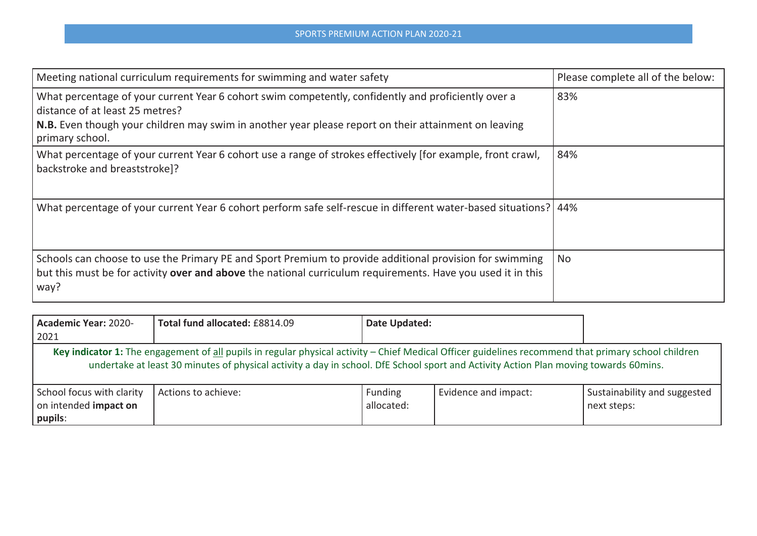| Meeting national curriculum requirements for swimming and water safety                                                                                                                                                                                            | Please complete all of the below: |
|-------------------------------------------------------------------------------------------------------------------------------------------------------------------------------------------------------------------------------------------------------------------|-----------------------------------|
| What percentage of your current Year 6 cohort swim competently, confidently and proficiently over a<br>distance of at least 25 metres?<br>N.B. Even though your children may swim in another year please report on their attainment on leaving<br>primary school. | 83%                               |
| What percentage of your current Year 6 cohort use a range of strokes effectively [for example, front crawl,<br>backstroke and breaststroke]?                                                                                                                      | 84%                               |
| What percentage of your current Year 6 cohort perform safe self-rescue in different water-based situations? 44%                                                                                                                                                   |                                   |
| Schools can choose to use the Primary PE and Sport Premium to provide additional provision for swimming<br>but this must be for activity over and above the national curriculum requirements. Have you used it in this<br>way?                                    | No                                |

| <b>Academic Year: 2020-</b><br>2021                                                                                                                                                                                                                                                          | Total fund allocated: £8814.09 | Date Updated:                |                      |                                             |
|----------------------------------------------------------------------------------------------------------------------------------------------------------------------------------------------------------------------------------------------------------------------------------------------|--------------------------------|------------------------------|----------------------|---------------------------------------------|
| Key indicator 1: The engagement of all pupils in regular physical activity – Chief Medical Officer guidelines recommend that primary school children<br>undertake at least 30 minutes of physical activity a day in school. DfE School sport and Activity Action Plan moving towards 60mins. |                                |                              |                      |                                             |
| School focus with clarity<br>on intended impact on<br>pupils:                                                                                                                                                                                                                                | Actions to achieve:            | <b>Funding</b><br>allocated: | Evidence and impact: | Sustainability and suggested<br>next steps: |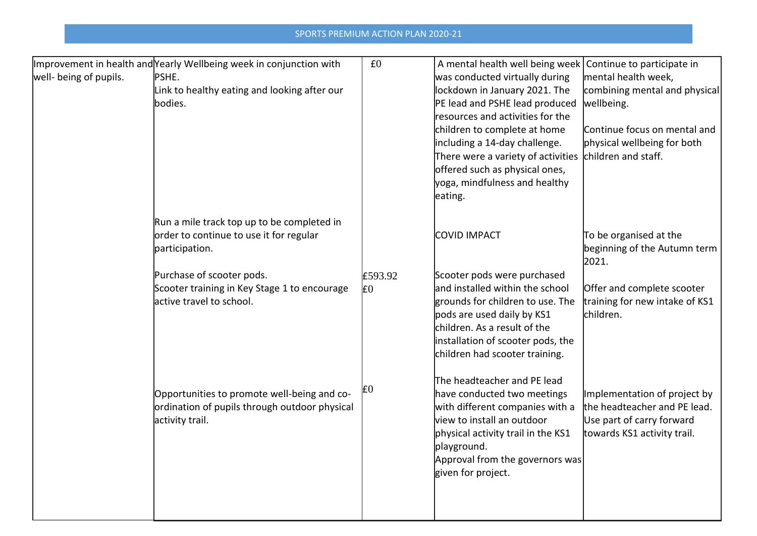|                        | Improvement in health and Yearly Wellbeing week in conjunction with | £0             | A mental health well being week Continue to participate in |                                |
|------------------------|---------------------------------------------------------------------|----------------|------------------------------------------------------------|--------------------------------|
| well- being of pupils. | PSHE.                                                               |                | was conducted virtually during                             | mental health week,            |
|                        | Link to healthy eating and looking after our                        |                | lockdown in January 2021. The                              | combining mental and physical  |
|                        | bodies.                                                             |                | PE lead and PSHE lead produced                             | wellbeing.                     |
|                        |                                                                     |                | resources and activities for the                           |                                |
|                        |                                                                     |                | children to complete at home                               | Continue focus on mental and   |
|                        |                                                                     |                | including a 14-day challenge.                              | physical wellbeing for both    |
|                        |                                                                     |                | There were a variety of activities                         | children and staff.            |
|                        |                                                                     |                | offered such as physical ones,                             |                                |
|                        |                                                                     |                | yoga, mindfulness and healthy                              |                                |
|                        |                                                                     |                | eating.                                                    |                                |
|                        | Run a mile track top up to be completed in                          |                |                                                            |                                |
|                        | order to continue to use it for regular                             |                | <b>COVID IMPACT</b>                                        | To be organised at the         |
|                        | participation.                                                      |                |                                                            | beginning of the Autumn term   |
|                        |                                                                     |                |                                                            | 2021.                          |
|                        | Purchase of scooter pods.                                           | £593.92        | Scooter pods were purchased                                |                                |
|                        | Scooter training in Key Stage 1 to encourage                        | E <sub>0</sub> | and installed within the school                            | Offer and complete scooter     |
|                        | active travel to school.                                            |                | grounds for children to use. The                           | training for new intake of KS1 |
|                        |                                                                     |                | pods are used daily by KS1                                 | children.                      |
|                        |                                                                     |                | children. As a result of the                               |                                |
|                        |                                                                     |                | installation of scooter pods, the                          |                                |
|                        |                                                                     |                | children had scooter training.                             |                                |
|                        |                                                                     |                | The headteacher and PE lead                                |                                |
|                        | Opportunities to promote well-being and co-                         | E0             | have conducted two meetings                                | Implementation of project by   |
|                        | ordination of pupils through outdoor physical                       |                | with different companies with a                            | the headteacher and PE lead.   |
|                        | activity trail.                                                     |                | view to install an outdoor                                 | Use part of carry forward      |
|                        |                                                                     |                | physical activity trail in the KS1                         | towards KS1 activity trail.    |
|                        |                                                                     |                | playground.                                                |                                |
|                        |                                                                     |                | Approval from the governors was                            |                                |
|                        |                                                                     |                | given for project.                                         |                                |
|                        |                                                                     |                |                                                            |                                |
|                        |                                                                     |                |                                                            |                                |
|                        |                                                                     |                |                                                            |                                |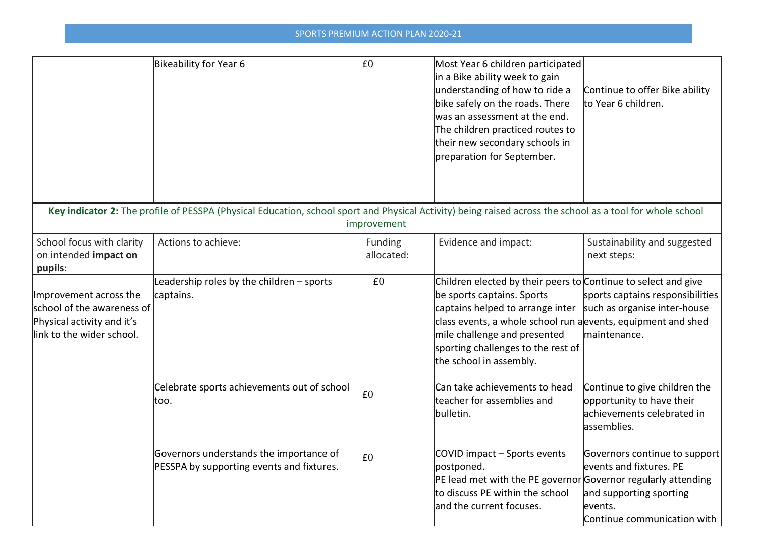|                                                                                                                 | Bikeability for Year 6                                                                                                                                    | £0                    | Most Year 6 children participated<br>in a Bike ability week to gain<br>understanding of how to ride a<br>bike safely on the roads. There<br>was an assessment at the end.<br>The children practiced routes to<br>their new secondary schools in<br>preparation for September.                      | Continue to offer Bike ability<br>to Year 6 children.                                                                         |
|-----------------------------------------------------------------------------------------------------------------|-----------------------------------------------------------------------------------------------------------------------------------------------------------|-----------------------|----------------------------------------------------------------------------------------------------------------------------------------------------------------------------------------------------------------------------------------------------------------------------------------------------|-------------------------------------------------------------------------------------------------------------------------------|
|                                                                                                                 | Key indicator 2: The profile of PESSPA (Physical Education, school sport and Physical Activity) being raised across the school as a tool for whole school | improvement           |                                                                                                                                                                                                                                                                                                    |                                                                                                                               |
| School focus with clarity<br>on intended impact on<br>pupils:                                                   | Actions to achieve:                                                                                                                                       | Funding<br>allocated: | Evidence and impact:                                                                                                                                                                                                                                                                               | Sustainability and suggested<br>next steps:                                                                                   |
| Improvement across the<br>school of the awareness of<br>Physical activity and it's<br>link to the wider school. | Leadership roles by the children - sports<br>captains.                                                                                                    | £0                    | Children elected by their peers to Continue to select and give<br>be sports captains. Sports<br>captains helped to arrange inter<br>class events, a whole school run a events, equipment and shed<br>mile challenge and presented<br>sporting challenges to the rest of<br>the school in assembly. | sports captains responsibilities<br>such as organise inter-house<br>maintenance.                                              |
|                                                                                                                 | Celebrate sports achievements out of school<br>too.                                                                                                       | £0                    | Can take achievements to head<br>teacher for assemblies and<br>bulletin.                                                                                                                                                                                                                           | Continue to give children the<br>opportunity to have their<br>achievements celebrated in<br>assemblies.                       |
|                                                                                                                 | Governors understands the importance of<br>PESSPA by supporting events and fixtures.                                                                      | E0                    | COVID impact - Sports events<br>postponed.<br>PE lead met with the PE governor Governor regularly attending<br>to discuss PE within the school<br>and the current focuses.                                                                                                                         | Governors continue to support<br>events and fixtures. PE<br>and supporting sporting<br>events.<br>Continue communication with |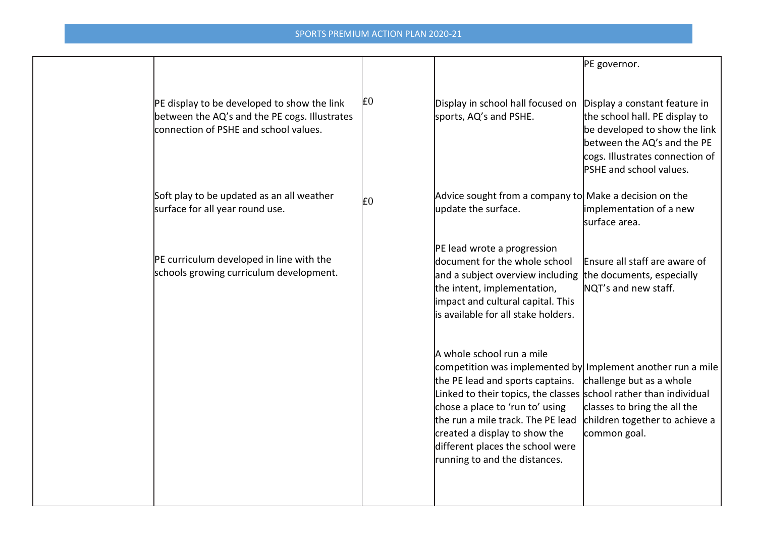|                                                                                                                                       |                |                                                                                                                                                                                                                                                                                                                                                                                 | PE governor.                                                                                                                                                                                         |
|---------------------------------------------------------------------------------------------------------------------------------------|----------------|---------------------------------------------------------------------------------------------------------------------------------------------------------------------------------------------------------------------------------------------------------------------------------------------------------------------------------------------------------------------------------|------------------------------------------------------------------------------------------------------------------------------------------------------------------------------------------------------|
| PE display to be developed to show the link<br>between the AQ's and the PE cogs. Illustrates<br>connection of PSHE and school values. | E <sub>0</sub> | Display in school hall focused on<br>sports, AQ's and PSHE.                                                                                                                                                                                                                                                                                                                     | Display a constant feature in<br>the school hall. PE display to<br>be developed to show the link<br>between the AQ's and the PE<br>cogs. Illustrates connection of<br><b>PSHE and school values.</b> |
| Soft play to be updated as an all weather<br>surface for all year round use.                                                          | l£0            | Advice sought from a company to Make a decision on the<br>update the surface.                                                                                                                                                                                                                                                                                                   | implementation of a new<br>Isurface area.                                                                                                                                                            |
| PE curriculum developed in line with the<br>schools growing curriculum development.                                                   |                | PE lead wrote a progression<br>document for the whole school<br>and a subject overview including<br>the intent, implementation,<br>impact and cultural capital. This<br>lis available for all stake holders.                                                                                                                                                                    | Ensure all staff are aware of<br>the documents, especially<br>NQT's and new staff.                                                                                                                   |
|                                                                                                                                       |                | A whole school run a mile<br>competition was implemented by Implement another run a mile<br>the PE lead and sports captains.<br>Linked to their topics, the classes school rather than individual<br>chose a place to 'run to' using<br>the run a mile track. The PE lead<br>created a display to show the<br>different places the school were<br>running to and the distances. | challenge but as a whole<br>classes to bring the all the<br>children together to achieve a<br>common goal.                                                                                           |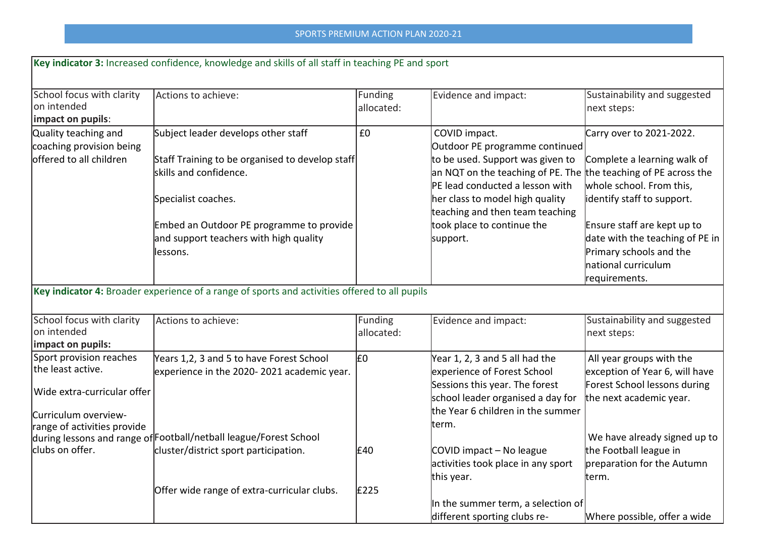|                                                                                                     | Key indicator 3: Increased confidence, knowledge and skills of all staff in teaching PE and sport                                                                                                                                          |                       |                                                                                                                                                                                                                                                                                                           |                                                                                                                                                                                                                                                         |
|-----------------------------------------------------------------------------------------------------|--------------------------------------------------------------------------------------------------------------------------------------------------------------------------------------------------------------------------------------------|-----------------------|-----------------------------------------------------------------------------------------------------------------------------------------------------------------------------------------------------------------------------------------------------------------------------------------------------------|---------------------------------------------------------------------------------------------------------------------------------------------------------------------------------------------------------------------------------------------------------|
| School focus with clarity<br>on intended<br>impact on pupils:                                       | Actions to achieve:                                                                                                                                                                                                                        | Funding<br>allocated: | Evidence and impact:                                                                                                                                                                                                                                                                                      | Sustainability and suggested<br>next steps:                                                                                                                                                                                                             |
| Quality teaching and<br>coaching provision being<br>offered to all children                         | Subject leader develops other staff<br>Staff Training to be organised to develop staff<br>skills and confidence.<br>Specialist coaches.<br>Embed an Outdoor PE programme to provide<br>and support teachers with high quality<br>llessons. | £0                    | COVID impact.<br>Outdoor PE programme continued<br>to be used. Support was given to<br>an NQT on the teaching of PE. The the teaching of PE across the<br>PE lead conducted a lesson with<br>her class to model high quality<br>teaching and then team teaching<br>took place to continue the<br>support. | Carry over to 2021-2022.<br>Complete a learning walk of<br>whole school. From this,<br>identify staff to support.<br>Ensure staff are kept up to<br>date with the teaching of PE in<br>Primary schools and the<br>Inational curriculum<br>requirements. |
|                                                                                                     | Key indicator 4: Broader experience of a range of sports and activities offered to all pupils                                                                                                                                              |                       |                                                                                                                                                                                                                                                                                                           |                                                                                                                                                                                                                                                         |
| School focus with clarity<br>on intended<br>impact on pupils:                                       | Actions to achieve:                                                                                                                                                                                                                        | Funding<br>allocated: | Evidence and impact:                                                                                                                                                                                                                                                                                      | Sustainability and suggested<br>next steps:                                                                                                                                                                                                             |
| Sport provision reaches<br>the least active.<br>Wide extra-curricular offer<br>Curriculum overview- | Years 1,2, 3 and 5 to have Forest School<br>experience in the 2020-2021 academic year.                                                                                                                                                     | l£٥                   | Year 1, 2, 3 and 5 all had the<br>experience of Forest School<br>Sessions this year. The forest<br>school leader organised a day for<br>the Year 6 children in the summer                                                                                                                                 | All year groups with the<br>exception of Year 6, will have<br>Forest School lessons during<br>the next academic year.                                                                                                                                   |
| range of activities provide<br>clubs on offer.                                                      | during lessons and range of Football/netball league/Forest School<br>cluster/district sport participation.<br>Offer wide range of extra-curricular clubs.                                                                                  | £40<br>£225           | term.<br>COVID impact - No league<br>activities took place in any sport<br>this year.                                                                                                                                                                                                                     | We have already signed up to<br>the Football league in<br>preparation for the Autumn<br>term.                                                                                                                                                           |
|                                                                                                     |                                                                                                                                                                                                                                            |                       | In the summer term, a selection of<br>different sporting clubs re-                                                                                                                                                                                                                                        | Where possible, offer a wide                                                                                                                                                                                                                            |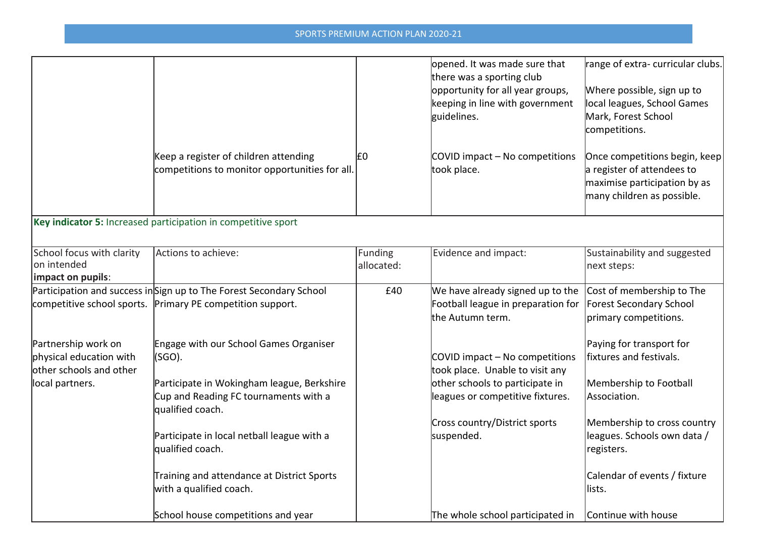|                                                                                              |                                                                                                                                                                                                                                                                               |                       | opened. It was made sure that<br>there was a sporting club<br>opportunity for all year groups,<br>keeping in line with government<br>guidelines.                                        | range of extra-curricular clubs.<br>Where possible, sign up to<br>local leagues, School Games<br>Mark, Forest School<br>competitions.                                                                     |
|----------------------------------------------------------------------------------------------|-------------------------------------------------------------------------------------------------------------------------------------------------------------------------------------------------------------------------------------------------------------------------------|-----------------------|-----------------------------------------------------------------------------------------------------------------------------------------------------------------------------------------|-----------------------------------------------------------------------------------------------------------------------------------------------------------------------------------------------------------|
|                                                                                              | Keep a register of children attending<br>competitions to monitor opportunities for all.                                                                                                                                                                                       | E <sub>0</sub>        | COVID impact - No competitions<br>took place.                                                                                                                                           | Once competitions begin, keep<br>a register of attendees to<br>maximise participation by as<br>many children as possible.                                                                                 |
|                                                                                              | Key indicator 5: Increased participation in competitive sport                                                                                                                                                                                                                 |                       |                                                                                                                                                                                         |                                                                                                                                                                                                           |
| School focus with clarity<br>on intended<br>impact on pupils:                                | Actions to achieve:                                                                                                                                                                                                                                                           | Funding<br>allocated: | Evidence and impact:                                                                                                                                                                    | Sustainability and suggested<br>next steps:                                                                                                                                                               |
|                                                                                              | Participation and success inSign up to The Forest Secondary School<br>competitive school sports. Primary PE competition support.                                                                                                                                              | £40                   | We have already signed up to the<br>Football league in preparation for<br>the Autumn term.                                                                                              | Cost of membership to The<br><b>Forest Secondary School</b><br>primary competitions.                                                                                                                      |
| Partnership work on<br>physical education with<br>other schools and other<br>local partners. | Engage with our School Games Organiser<br>  (SGO).<br>Participate in Wokingham league, Berkshire<br>Cup and Reading FC tournaments with a<br>qualified coach.<br>Participate in local netball league with a<br>qualified coach.<br>Training and attendance at District Sports |                       | COVID impact - No competitions<br>took place. Unable to visit any<br>other schools to participate in<br>leagues or competitive fixtures.<br>Cross country/District sports<br>suspended. | Paying for transport for<br>fixtures and festivals.<br>Membership to Football<br>Association.<br>Membership to cross country<br>leagues. Schools own data /<br>registers.<br>Calendar of events / fixture |
|                                                                                              | with a qualified coach.<br>School house competitions and year                                                                                                                                                                                                                 |                       | The whole school participated in                                                                                                                                                        | lists.<br>Continue with house                                                                                                                                                                             |